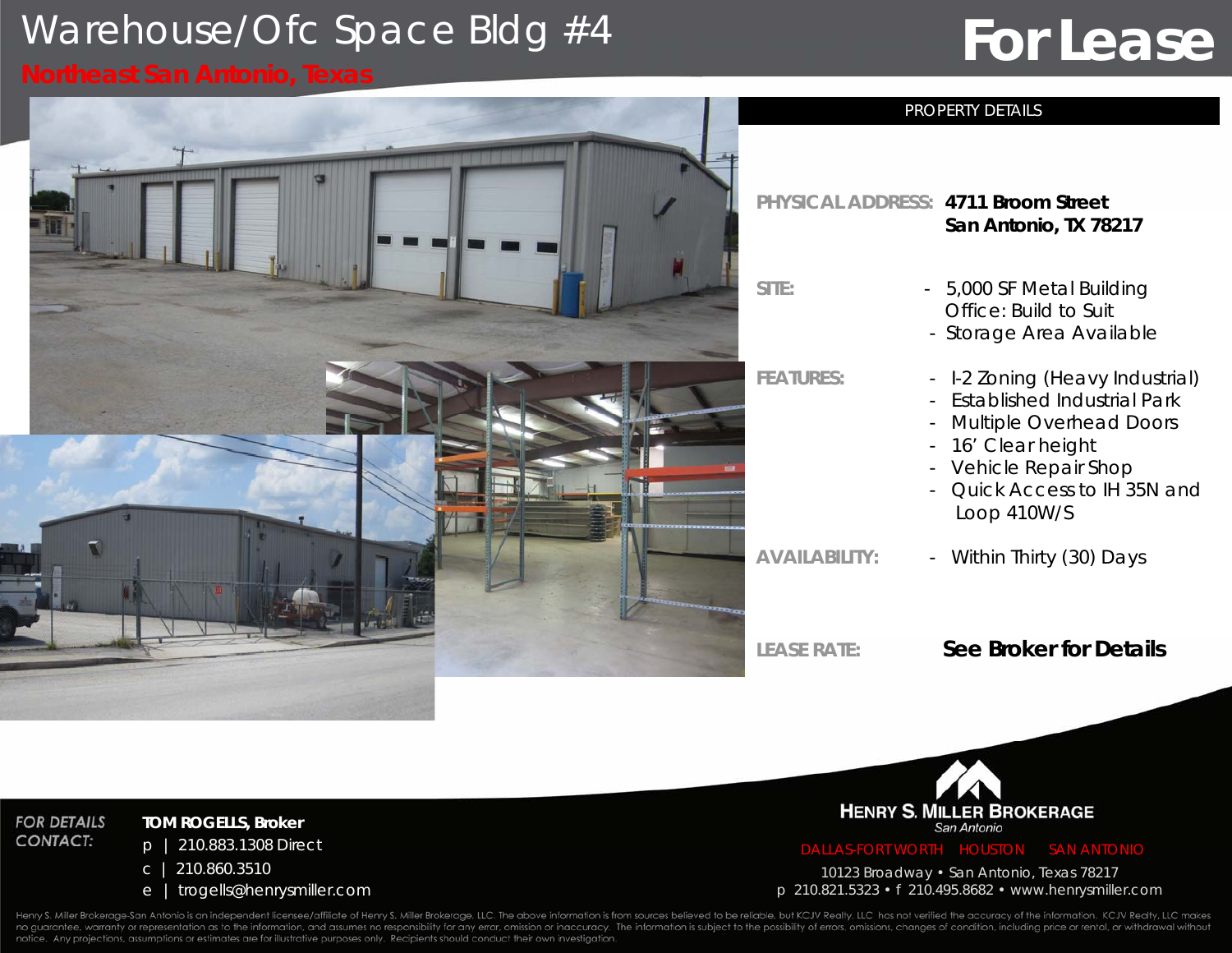## Warehouse/Ofc Space Bldg #4

# **For Lease**

**TOM ROGELLS, Broker** p | 210.883.1308 Direct

<sup>e</sup> | trogells@henrysmiller.com

c | 210.860.3510

**FOR DETAILS** 

**CONTACT:** 



## **PHYSICAL** *ADDRESS:* **4711 Broom Street San Antonio, TX 78217** - 5,000 SF Metal Building Office: Build to Suit- Storage Area Available **FEATURES:** - I-2 Zoning (Heavy Industrial) - Established Industrial Park- Multiple Overhead Doors - 16' Clear height - Vehicle Repair Shop - Quick Access to IH 35N and Loop 410W/S

PROPERTY DETAILS

**AVAILABILITY:**

- Within Thirty (30) Days

**LEASE RATE***:*

## **See Broker for Details**



10123 Broadway • San Antonio, Texas 78217 p 210.821.5323 • f 210.495.8682 • www.henrysmiller.com

Henry S. Miller Brokerage-San Antonio is an independent licensee/affiliate of Henry S. Miller Brokerage, LLC. The above information is from sources believed to be reliable, but KCJV Realty, LLC has not verified the accurac no guarantee, warranty or representation as to the information, and assumes no responsibility for any error, omission or inaccuracy. The information is subject to the possibility of errors, omissions, changes of condition, notice. Any projections, assumptions or estimates are for illustrative purposes only. Recipients should conduct their own investigation.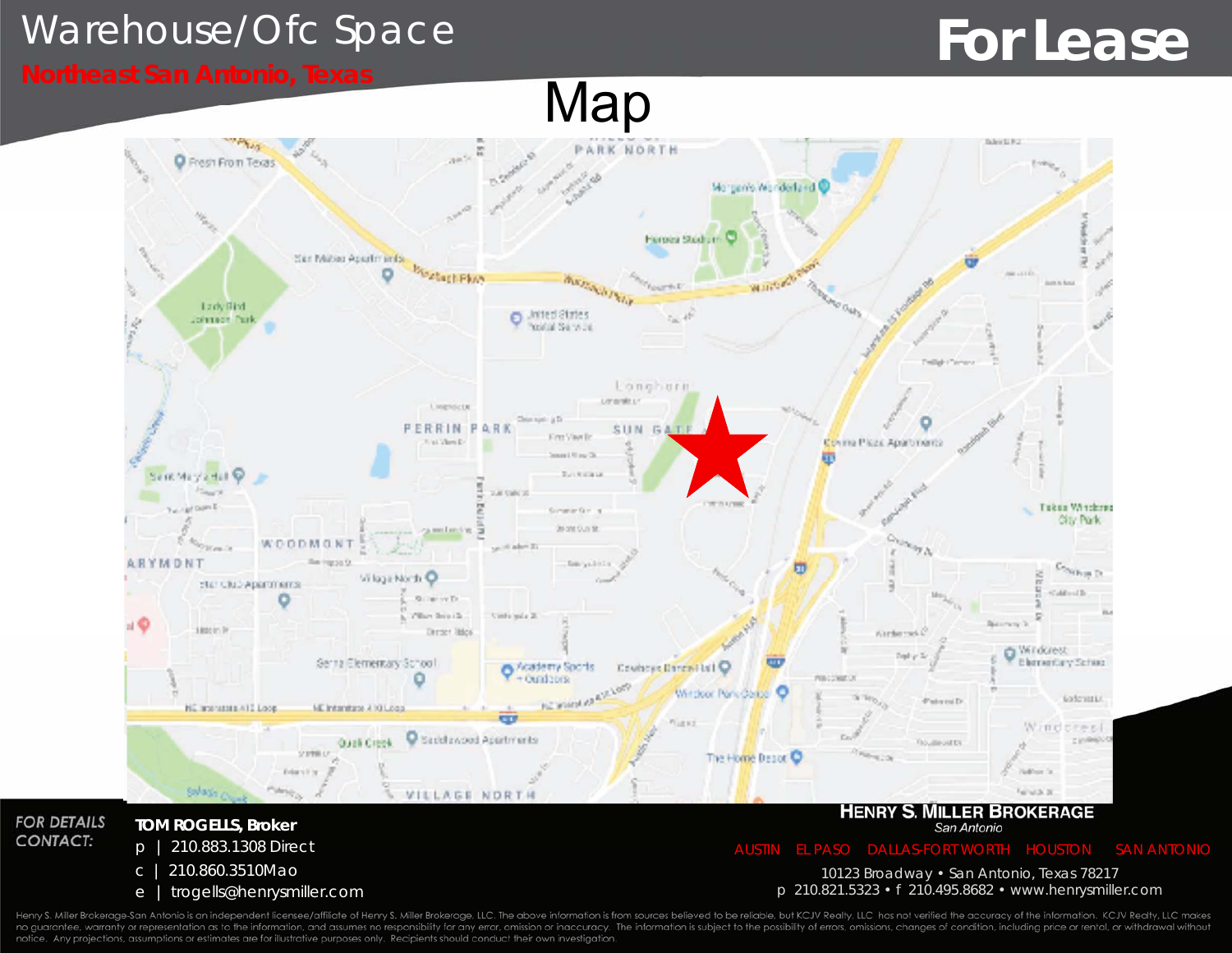## Warehouse/Ofc Space

# **For Lease**

**CONTACT:** 

# Map



Henry S. Miller Brokerage-San Antonio is an independent licensee/affiliate of Henry S. Miller Brokerage, LLC. The above information is from sources believed to be reliable, but KCJV Realty, LLC has not verified the accurac no guarantee, warranty or representation as to the information, and assumes no responsibility for any error, omission or inaccuracy. The information is subject to the possibility of errors, omissions, changes of condition, notice. Any projections, assumptions or estimates are for illustrative purposes only. Recipients should conduct their own investigation.